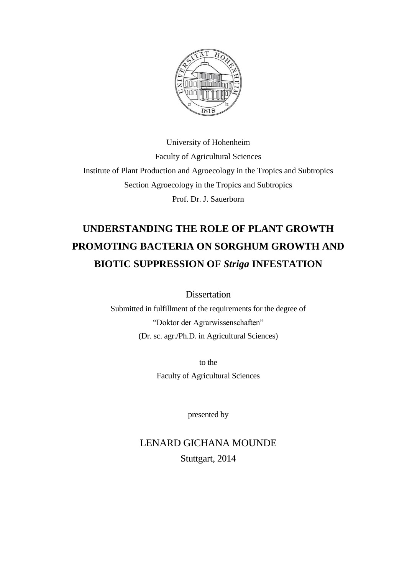

University of Hohenheim Faculty of Agricultural Sciences Institute of Plant Production and Agroecology in the Tropics and Subtropics Section Agroecology in the Tropics and Subtropics Prof. Dr. J. Sauerborn

## **UNDERSTANDING THE ROLE OF PLANT GROWTH PROMOTING BACTERIA ON SORGHUM GROWTH AND BIOTIC SUPPRESSION OF** *Striga* **INFESTATION**

Dissertation

Submitted in fulfillment of the requirements for the degree of "Doktor der Agrarwissenschaften" (Dr. sc. agr./Ph.D. in Agricultural Sciences)

> to the Faculty of Agricultural Sciences

> > presented by

## LENARD GICHANA MOUNDE Stuttgart, 2014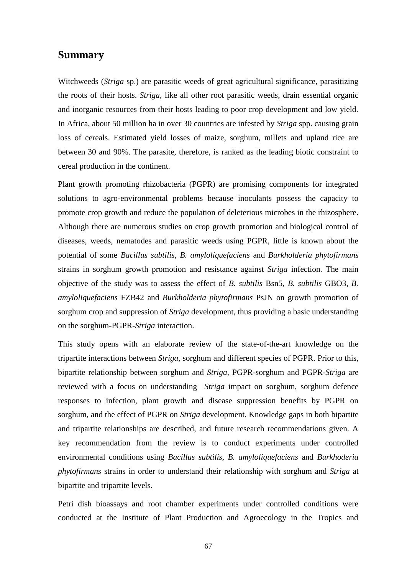## **Summary**

Witchweeds (*Striga* sp.) are parasitic weeds of great agricultural significance, parasitizing the roots of their hosts. *Striga*, like all other root parasitic weeds, drain essential organic and inorganic resources from their hosts leading to poor crop development and low yield. In Africa, about 50 million ha in over 30 countries are infested by *Striga* spp. causing grain loss of cereals. Estimated yield losses of maize, sorghum, millets and upland rice are between 30 and 90%. The parasite, therefore, is ranked as the leading biotic constraint to cereal production in the continent.

Plant growth promoting rhizobacteria (PGPR) are promising components for integrated solutions to agro-environmental problems because inoculants possess the capacity to promote crop growth and reduce the population of deleterious microbes in the rhizosphere. Although there are numerous studies on crop growth promotion and biological control of diseases, weeds, nematodes and parasitic weeds using PGPR, little is known about the potential of some *Bacillus subtilis, B. amyloliquefaciens* and *Burkholderia phytofirmans*  strains in sorghum growth promotion and resistance against *Striga* infection. The main objective of the study was to assess the effect of *B. subtilis* Bsn5, *B. subtilis* GBO3, *B. amyloliquefaciens* FZB42 and *Burkholderia phytofirmans* PsJN on growth promotion of sorghum crop and suppression of *Striga* development, thus providing a basic understanding on the sorghum-PGPR-*Striga* interaction.

This study opens with an elaborate review of the state-of-the-art knowledge on the tripartite interactions between *Striga*, sorghum and different species of PGPR. Prior to this, bipartite relationship between sorghum and *Striga*, PGPR-sorghum and PGPR-*Striga* are reviewed with a focus on understanding *Striga* impact on sorghum, sorghum defence responses to infection, plant growth and disease suppression benefits by PGPR on sorghum, and the effect of PGPR on *Striga* development. Knowledge gaps in both bipartite and tripartite relationships are described, and future research recommendations given. A key recommendation from the review is to conduct experiments under controlled environmental conditions using *Bacillus subtilis, B. amyloliquefaciens* and *Burkhoderia phytofirmans* strains in order to understand their relationship with sorghum and *Striga* at bipartite and tripartite levels.

Petri dish bioassays and root chamber experiments under controlled conditions were conducted at the Institute of Plant Production and Agroecology in the Tropics and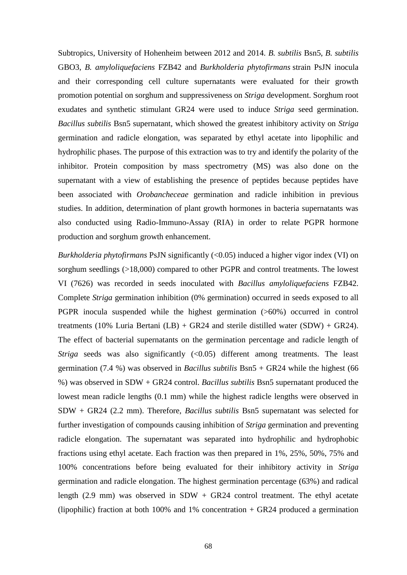Subtropics, University of Hohenheim between 2012 and 2014. *B. subtilis* Bsn5, *B. subtilis* GBO3, *B. amyloliquefaciens* FZB42 and *Burkholderia phytofirmans* strain PsJN inocula and their corresponding cell culture supernatants were evaluated for their growth promotion potential on sorghum and suppressiveness on *Striga* development. Sorghum root exudates and synthetic stimulant GR24 were used to induce *Striga* seed germination. *Bacillus subtilis* Bsn5 supernatant, which showed the greatest inhibitory activity on *Striga* germination and radicle elongation, was separated by ethyl acetate into lipophilic and hydrophilic phases. The purpose of this extraction was to try and identify the polarity of the inhibitor. Protein composition by mass spectrometry (MS) was also done on the supernatant with a view of establishing the presence of peptides because peptides have been associated with *Orobancheceae* germination and radicle inhibition in previous studies. In addition, determination of plant growth hormones in bacteria supernatants was also conducted using Radio-Immuno-Assay (RIA) in order to relate PGPR hormone production and sorghum growth enhancement.

*Burkholderia phytofirmans* PsJN significantly (<0.05) induced a higher vigor index (VI) on sorghum seedlings (>18,000) compared to other PGPR and control treatments. The lowest VI (7626) was recorded in seeds inoculated with *Bacillus amyloliquefaciens* FZB42. Complete *Striga* germination inhibition (0% germination) occurred in seeds exposed to all PGPR inocula suspended while the highest germination (>60%) occurred in control treatments (10% Luria Bertani (LB) + GR24 and sterile distilled water (SDW) + GR24). The effect of bacterial supernatants on the germination percentage and radicle length of *Striga* seeds was also significantly (<0.05) different among treatments. The least germination (7.4 %) was observed in *Bacillus subtilis* Bsn5 + GR24 while the highest (66 %) was observed in SDW + GR24 control. *Bacillus subtilis* Bsn5 supernatant produced the lowest mean radicle lengths (0.1 mm) while the highest radicle lengths were observed in SDW + GR24 (2.2 mm). Therefore, *Bacillus subtilis* Bsn5 supernatant was selected for further investigation of compounds causing inhibition of *Striga* germination and preventing radicle elongation. The supernatant was separated into hydrophilic and hydrophobic fractions using ethyl acetate. Each fraction was then prepared in 1%, 25%, 50%, 75% and 100% concentrations before being evaluated for their inhibitory activity in *Striga* germination and radicle elongation. The highest germination percentage (63%) and radical length (2.9 mm) was observed in SDW + GR24 control treatment. The ethyl acetate (lipophilic) fraction at both 100% and 1% concentration + GR24 produced a germination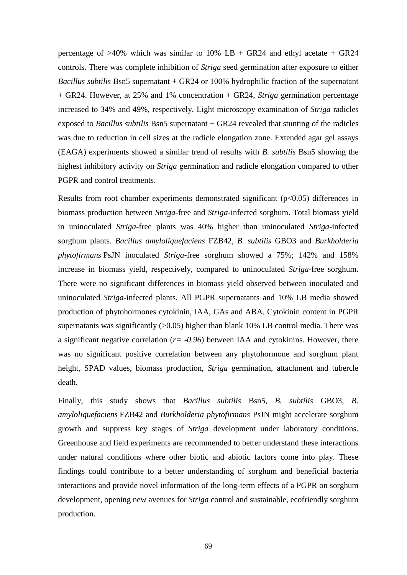percentage of  $>40\%$  which was similar to 10% LB + GR24 and ethyl acetate + GR24 controls. There was complete inhibition of *Striga* seed germination after exposure to either *Bacillus subtilis* Bsn5 supernatant + GR24 or 100% hydrophilic fraction of the supernatant + GR24. However, at 25% and 1% concentration + GR24, *Striga* germination percentage increased to 34% and 49%, respectively. Light microscopy examination of *Striga* radicles exposed to *Bacillus subtilis* Bsn5 supernatant + GR24 revealed that stunting of the radicles was due to reduction in cell sizes at the radicle elongation zone. Extended agar gel assays (EAGA) experiments showed a similar trend of results with *B. subtilis* Bsn5 showing the highest inhibitory activity on *Striga* germination and radicle elongation compared to other PGPR and control treatments.

Results from root chamber experiments demonstrated significant ( $p<0.05$ ) differences in biomass production between *Striga*-free and *Striga*-infected sorghum. Total biomass yield in uninoculated *Striga*-free plants was 40% higher than uninoculated *Striga*-infected sorghum plants. *Bacillus amyloliquefaciens* FZB42, *B. subtilis* GBO3 and *Burkholderia phytofirmans* PsJN inoculated *Striga*-free sorghum showed a 75%; 142% and 158% increase in biomass yield, respectively, compared to uninoculated *Striga*-free sorghum. There were no significant differences in biomass yield observed between inoculated and uninoculated *Striga*-infected plants. All PGPR supernatants and 10% LB media showed production of phytohormones cytokinin, IAA, GAs and ABA. Cytokinin content in PGPR supernatants was significantly  $(0.05)$  higher than blank 10% LB control media. There was a significant negative correlation (*r= -0.96*) between IAA and cytokinins. However, there was no significant positive correlation between any phytohormone and sorghum plant height, SPAD values, biomass production, *Striga* germination, attachment and tubercle death.

Finally, this study shows that *Bacillus subtilis* Bsn5*, B. subtilis* GBO3, *B. amyloliquefaciens* FZB42 and *Burkholderia phytofirmans* PsJN might accelerate sorghum growth and suppress key stages of *Striga* development under laboratory conditions. Greenhouse and field experiments are recommended to better understand these interactions under natural conditions where other biotic and abiotic factors come into play. These findings could contribute to a better understanding of sorghum and beneficial bacteria interactions and provide novel information of the long-term effects of a PGPR on sorghum development, opening new avenues for *Striga* control and sustainable, ecofriendly sorghum production.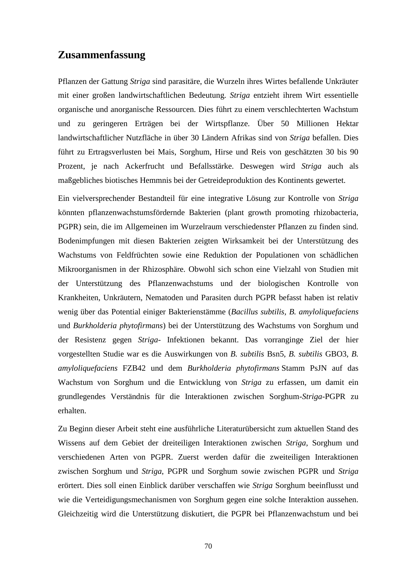## **Zusammenfassung**

Pflanzen der Gattung *Striga* sind parasitäre, die Wurzeln ihres Wirtes befallende Unkräuter mit einer großen landwirtschaftlichen Bedeutung. *Striga* entzieht ihrem Wirt essentielle organische und anorganische Ressourcen. Dies führt zu einem verschlechterten Wachstum und zu geringeren Erträgen bei der Wirtspflanze. Über 50 Millionen Hektar landwirtschaftlicher Nutzfläche in über 30 Ländern Afrikas sind von *Striga* befallen. Dies führt zu Ertragsverlusten bei Mais, Sorghum, Hirse und Reis von geschätzten 30 bis 90 Prozent, je nach Ackerfrucht und Befallsstärke. Deswegen wird *Striga* auch als maßgebliches biotisches Hemmnis bei der Getreideproduktion des Kontinents gewertet.

Ein vielversprechender Bestandteil für eine integrative Lösung zur Kontrolle von *Striga*  könnten pflanzenwachstumsfördernde Bakterien (plant growth promoting rhizobacteria, PGPR) sein, die im Allgemeinen im Wurzelraum verschiedenster Pflanzen zu finden sind. Bodenimpfungen mit diesen Bakterien zeigten Wirksamkeit bei der Unterstützung des Wachstums von Feldfrüchten sowie eine Reduktion der Populationen von schädlichen Mikroorganismen in der Rhizosphäre. Obwohl sich schon eine Vielzahl von Studien mit der Unterstützung des Pflanzenwachstums und der biologischen Kontrolle von Krankheiten, Unkräutern, Nematoden und Parasiten durch PGPR befasst haben ist relativ wenig über das Potential einiger Bakterienstämme (*Bacillus subtilis, B. amyloliquefaciens* und *Burkholderia phytofirmans*) bei der Unterstützung des Wachstums von Sorghum und der Resistenz gegen *Striga*- Infektionen bekannt. Das vorranginge Ziel der hier vorgestellten Studie war es die Auswirkungen von *B. subtilis* Bsn5, *B. subtilis* GBO3, *B. amyloliquefaciens* FZB42 und dem *Burkholderia phytofirmans* Stamm PsJN auf das Wachstum von Sorghum und die Entwicklung von *Striga* zu erfassen, um damit ein grundlegendes Verständnis für die Interaktionen zwischen Sorghum-*Striga*-PGPR zu erhalten.

Zu Beginn dieser Arbeit steht eine ausführliche Literaturübersicht zum aktuellen Stand des Wissens auf dem Gebiet der dreiteiligen Interaktionen zwischen *Striga*, Sorghum und verschiedenen Arten von PGPR. Zuerst werden dafür die zweiteiligen Interaktionen zwischen Sorghum und *Striga*, PGPR und Sorghum sowie zwischen PGPR und *Striga* erörtert. Dies soll einen Einblick darüber verschaffen wie *Striga* Sorghum beeinflusst und wie die Verteidigungsmechanismen von Sorghum gegen eine solche Interaktion aussehen. Gleichzeitig wird die Unterstützung diskutiert, die PGPR bei Pflanzenwachstum und bei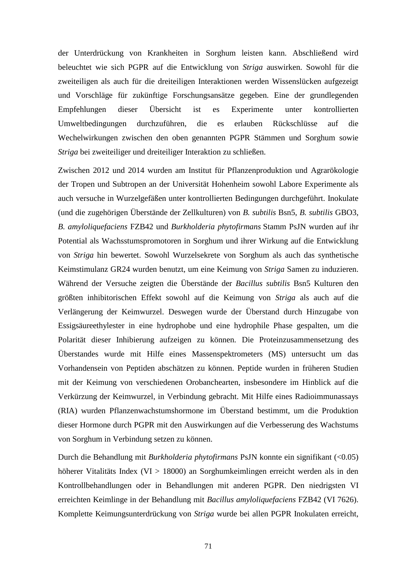der Unterdrückung von Krankheiten in Sorghum leisten kann. Abschließend wird beleuchtet wie sich PGPR auf die Entwicklung von *Striga* auswirken. Sowohl für die zweiteiligen als auch für die dreiteiligen Interaktionen werden Wissenslücken aufgezeigt und Vorschläge für zukünftige Forschungsansätze gegeben. Eine der grundlegenden Empfehlungen dieser Übersicht ist es Experimente unter kontrollierten Umweltbedingungen durchzuführen, die es erlauben Rückschlüsse auf die Wechelwirkungen zwischen den oben genannten PGPR Stämmen und Sorghum sowie *Striga* bei zweiteiliger und dreiteiliger Interaktion zu schließen.

Zwischen 2012 und 2014 wurden am Institut für Pflanzenproduktion und Agrarökologie der Tropen und Subtropen an der Universität Hohenheim sowohl Labore Experimente als auch versuche in Wurzelgefäßen unter kontrollierten Bedingungen durchgeführt. Inokulate (und die zugehörigen Überstände der Zellkulturen) von *B. subtilis* Bsn5, *B. subtilis* GBO3, *B. amyloliquefaciens* FZB42 und *Burkholderia phytofirmans* Stamm PsJN wurden auf ihr Potential als Wachsstumspromotoren in Sorghum und ihrer Wirkung auf die Entwicklung von *Striga* hin bewertet. Sowohl Wurzelsekrete von Sorghum als auch das synthetische Keimstimulanz GR24 wurden benutzt, um eine Keimung von *Striga* Samen zu induzieren. Während der Versuche zeigten die Überstände der *Bacillus subtilis* Bsn5 Kulturen den größten inhibitorischen Effekt sowohl auf die Keimung von *Striga* als auch auf die Verlängerung der Keimwurzel. Deswegen wurde der Überstand durch Hinzugabe von Essigsäureethylester in eine hydrophobe und eine hydrophile Phase gespalten, um die Polarität dieser Inhibierung aufzeigen zu können. Die Proteinzusammensetzung des Überstandes wurde mit Hilfe eines Massenspektrometers (MS) untersucht um das Vorhandensein von Peptiden abschätzen zu können. Peptide wurden in früheren Studien mit der Keimung von verschiedenen Orobanchearten, insbesondere im Hinblick auf die Verkürzung der Keimwurzel, in Verbindung gebracht. Mit Hilfe eines Radioimmunassays (RIA) wurden Pflanzenwachstumshormone im Überstand bestimmt, um die Produktion dieser Hormone durch PGPR mit den Auswirkungen auf die Verbesserung des Wachstums von Sorghum in Verbindung setzen zu können.

Durch die Behandlung mit *Burkholderia phytofirmans* PsJN konnte ein signifikant (<0.05) höherer Vitalitäts Index (VI > 18000) an Sorghumkeimlingen erreicht werden als in den Kontrollbehandlungen oder in Behandlungen mit anderen PGPR. Den niedrigsten VI erreichten Keimlinge in der Behandlung mit *Bacillus amyloliquefaciens* FZB42 (VI 7626). Komplette Keimungsunterdrückung von *Striga* wurde bei allen PGPR Inokulaten erreicht,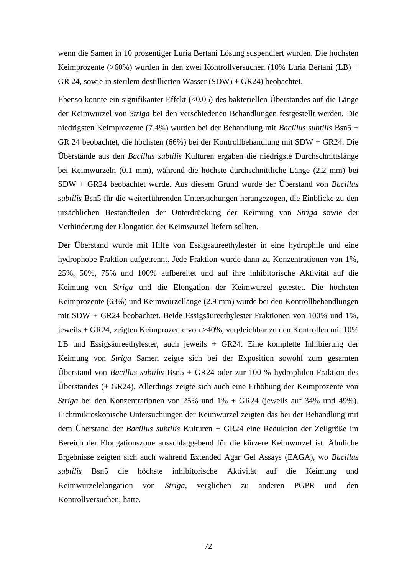wenn die Samen in 10 prozentiger Luria Bertani Lösung suspendiert wurden. Die höchsten Keimprozente (>60%) wurden in den zwei Kontrollversuchen (10% Luria Bertani (LB) + GR 24, sowie in sterilem destillierten Wasser (SDW) + GR24) beobachtet.

Ebenso konnte ein signifikanter Effekt (<0.05) des bakteriellen Überstandes auf die Länge der Keimwurzel von *Striga* bei den verschiedenen Behandlungen festgestellt werden. Die niedrigsten Keimprozente (7.4%) wurden bei der Behandlung mit *Bacillus subtilis* Bsn5 + GR 24 beobachtet, die höchsten (66%) bei der Kontrollbehandlung mit SDW + GR24. Die Überstände aus den *Bacillus subtilis* Kulturen ergaben die niedrigste Durchschnittslänge bei Keimwurzeln (0.1 mm), während die höchste durchschnittliche Länge (2.2 mm) bei SDW + GR24 beobachtet wurde. Aus diesem Grund wurde der Überstand von *Bacillus subtilis* Bsn5 für die weiterführenden Untersuchungen herangezogen, die Einblicke zu den ursächlichen Bestandteilen der Unterdrückung der Keimung von *Striga* sowie der Verhinderung der Elongation der Keimwurzel liefern sollten.

Der Überstand wurde mit Hilfe von Essigsäureethylester in eine hydrophile und eine hydrophobe Fraktion aufgetrennt. Jede Fraktion wurde dann zu Konzentrationen von 1%, 25%, 50%, 75% und 100% aufbereitet und auf ihre inhibitorische Aktivität auf die Keimung von *Striga* und die Elongation der Keimwurzel getestet. Die höchsten Keimprozente (63%) und Keimwurzellänge (2.9 mm) wurde bei den Kontrollbehandlungen mit SDW + GR24 beobachtet. Beide Essigsäureethylester Fraktionen von 100% und 1%, jeweils + GR24, zeigten Keimprozente von >40%, vergleichbar zu den Kontrollen mit 10% LB und Essigsäureethylester, auch jeweils + GR24. Eine komplette Inhibierung der Keimung von *Striga* Samen zeigte sich bei der Exposition sowohl zum gesamten Überstand von *Bacillus subtilis* Bsn5 + GR24 oder zur 100 % hydrophilen Fraktion des Überstandes (+ GR24). Allerdings zeigte sich auch eine Erhöhung der Keimprozente von *Striga* bei den Konzentrationen von 25% und 1% + GR24 (jeweils auf 34% und 49%). Lichtmikroskopische Untersuchungen der Keimwurzel zeigten das bei der Behandlung mit dem Überstand der *Bacillus subtilis* Kulturen + GR24 eine Reduktion der Zellgröße im Bereich der Elongationszone ausschlaggebend für die kürzere Keimwurzel ist. Ähnliche Ergebnisse zeigten sich auch während Extended Agar Gel Assays (EAGA), wo *Bacillus subtilis* Bsn5 die höchste inhibitorische Aktivität auf die Keimung und Keimwurzelelongation von *Striga*, verglichen zu anderen PGPR und den Kontrollversuchen, hatte.